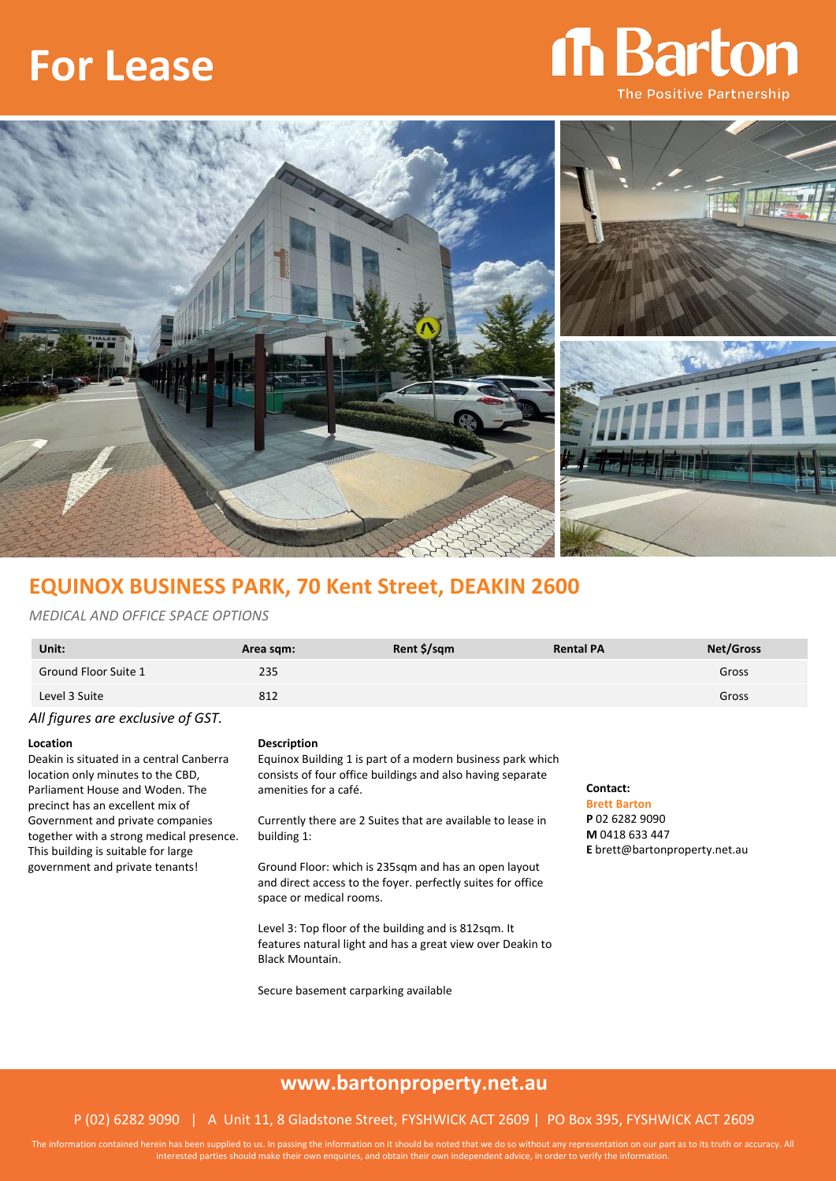# **For Lease**

# Th Barton **The Positive Partnership**



### **EQUINOX BUSINESS PARK, 70 Kent Street, DEAKIN 2600**

### *MEDICAL AND OFFICE SPACE OPTIONS*

| Unit:                             | Area sqm: | Rent \$/sqm | <b>Rental PA</b> | <b>Net/Gross</b> |
|-----------------------------------|-----------|-------------|------------------|------------------|
| Ground Floor Suite 1              | 235       |             |                  | Gross            |
| Level 3 Suite                     | 812       |             |                  | Gross            |
| All figures are exclusive of GST. |           |             |                  |                  |

Deakin is situated in a central Canberra location only minutes to the CBD, Parliament House and Woden. The precinct has an excellent mix of Government and private companies together with a strong medical presence. This building is suitable for large government and private tenants!

#### **Location Description**

Equinox Building 1 is part of a modern business park which consists of four office buildings and also having separate amenities for a café.

Currently there are 2 Suites that are available to lease in building 1:

Ground Floor: which is 235sqm and has an open layout and direct access to the foyer. perfectly suites for office space or medical rooms.

Level 3: Top floor of the building and is 812sqm. It features natural light and has a great view over Deakin to Black Mountain.

Secure basement carparking available

### **Contact:**

**Brett Barton P** 02 6282 9090 **M** 0418 633 447 **E** brett@bartonproperty.net.au

### **www.bartonproperty.net.au**

### P (02) 6282 9090 | A Unit 11, 8 Gladstone Street, FYSHWICK ACT 2609 | PO Box 395, FYSHWICK ACT 2609

The information contained herein has been supplied to us. In passing the information on it should be noted that we do so without any representation on our part as to its truth or accuracy. All interested parties should make their own enquiries, and obtain their own independent advice, in order to verify the information.